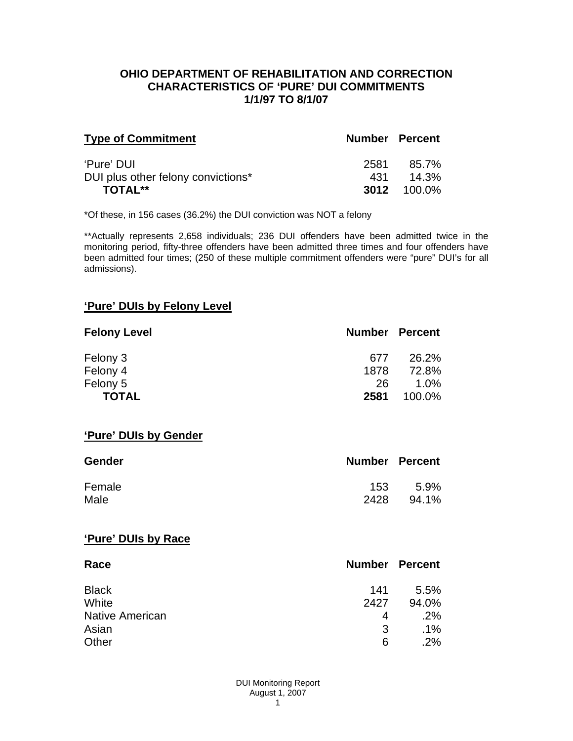#### **OHIO DEPARTMENT OF REHABILITATION AND CORRECTION CHARACTERISTICS OF 'PURE' DUI COMMITMENTS 1/1/97 TO 8/1/07**

| <b>Type of Commitment</b>          | <b>Number Percent</b> |                    |
|------------------------------------|-----------------------|--------------------|
| 'Pure' DUI                         | 2581                  | 85.7%              |
| DUI plus other felony convictions* | 431                   | $14.3\%$           |
| <b>TOTAL**</b>                     |                       | <b>3012</b> 100.0% |

\*Of these, in 156 cases (36.2%) the DUI conviction was NOT a felony

\*\*Actually represents 2,658 individuals; 236 DUI offenders have been admitted twice in the monitoring period, fifty-three offenders have been admitted three times and four offenders have been admitted four times; (250 of these multiple commitment offenders were "pure" DUI's for all admissions).

# **'Pure' DUIs by Felony Level**

| <b>Felony Level</b> | <b>Number Percent</b> |         |
|---------------------|-----------------------|---------|
| Felony 3            | 677                   | 26.2%   |
| Felony 4            | 1878                  | 72.8%   |
| Felony 5            | 26                    | $1.0\%$ |
| <b>TOTAL</b>        | 2581                  | 100.0%  |

#### **'Pure' DUIs by Gender**

| <b>Gender</b> | <b>Number Percent</b> |       |
|---------------|-----------------------|-------|
| Female        | 153.                  | 5.9%  |
| Male          | 2428                  | 94.1% |

#### **'Pure' DUIs by Race**

| Race                   | <b>Number Percent</b> |        |
|------------------------|-----------------------|--------|
| <b>Black</b>           | 141                   | 5.5%   |
| White                  | 2427                  | 94.0%  |
| <b>Native American</b> | 4                     | .2%    |
| Asian                  | 3                     | $.1\%$ |
| Other                  | 6                     | .2%    |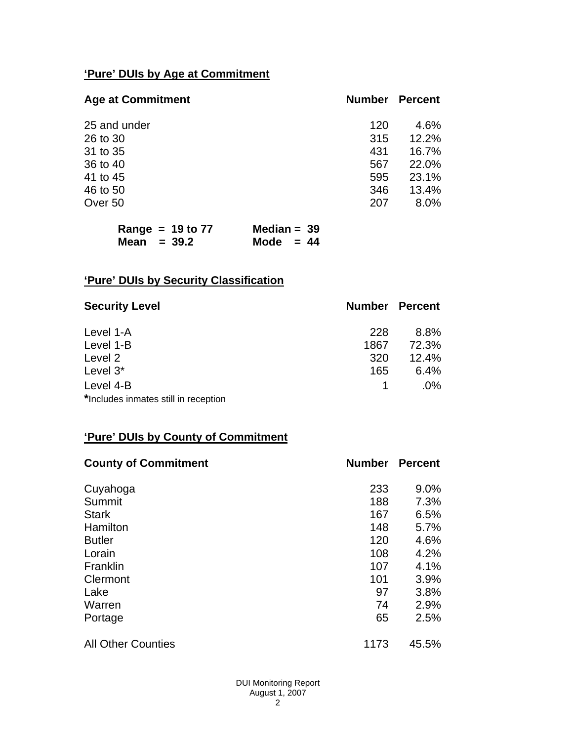# **'Pure' DUIs by Age at Commitment**

| <b>Age at Commitment</b> | <b>Number</b> | <b>Percent</b> |
|--------------------------|---------------|----------------|
| 25 and under             | 120           | 4.6%           |
| 26 to 30                 | 315           | 12.2%          |
| 31 to 35                 | 431           | 16.7%          |
| 36 to 40                 | 567           | 22.0%          |
| 41 to 45                 | 595           | 23.1%          |
| 46 to 50                 | 346           | 13.4%          |
| Over 50                  | 207           | 8.0%           |

| Range = $19$ to $77$ | Median = $39$ |
|----------------------|---------------|
| Mean $=$ 39.2        | Mode $= 44$   |

# **'Pure' DUIs by Security Classification**

| <b>Security Level</b>                | <b>Number Percent</b> |        |
|--------------------------------------|-----------------------|--------|
| Level 1-A                            | 228                   | 8.8%   |
| Level 1-B                            | 1867                  | 72.3%  |
| Level 2                              | 320                   | 12.4%  |
| Level 3*                             | 165                   | 6.4%   |
| Level 4-B                            |                       | $.0\%$ |
| *Includes inmates still in reception |                       |        |

# **'Pure' DUIs by County of Commitment**

| <b>County of Commitment</b> | <b>Number</b> | <b>Percent</b> |
|-----------------------------|---------------|----------------|
| Cuyahoga                    | 233           | 9.0%           |
| Summit                      | 188           | 7.3%           |
| <b>Stark</b>                | 167           | 6.5%           |
| Hamilton                    | 148           | 5.7%           |
| <b>Butler</b>               | 120           | 4.6%           |
| Lorain                      | 108           | 4.2%           |
| Franklin                    | 107           | 4.1%           |
| Clermont                    | 101           | 3.9%           |
| Lake                        | 97            | 3.8%           |
| Warren                      | 74            | 2.9%           |
| Portage                     | 65            | 2.5%           |
| <b>All Other Counties</b>   | 1173          | 45.5%          |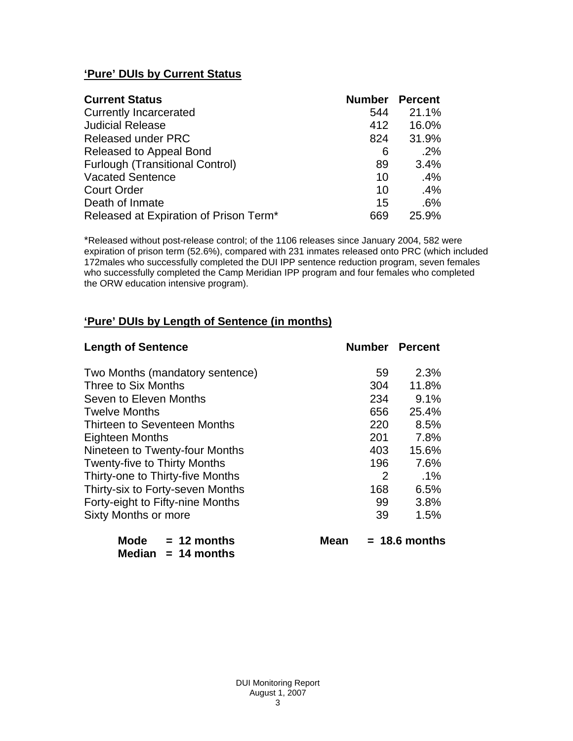# **'Pure' DUIs by Current Status**

| <b>Current Status</b>                  | <b>Number Percent</b> |       |
|----------------------------------------|-----------------------|-------|
| <b>Currently Incarcerated</b>          | 544                   | 21.1% |
| <b>Judicial Release</b>                | 412                   | 16.0% |
| <b>Released under PRC</b>              | 824                   | 31.9% |
| Released to Appeal Bond                | 6                     | .2%   |
| <b>Furlough (Transitional Control)</b> | 89                    | 3.4%  |
| <b>Vacated Sentence</b>                | 10                    | .4%   |
| <b>Court Order</b>                     | 10                    | .4%   |
| Death of Inmate                        | 15                    | .6%   |
| Released at Expiration of Prison Term* | 669                   | 25.9% |

\*Released without post-release control; of the 1106 releases since January 2004, 582 were expiration of prison term (52.6%), compared with 231 inmates released onto PRC (which included 172males who successfully completed the DUI IPP sentence reduction program, seven females who successfully completed the Camp Meridian IPP program and four females who completed the ORW education intensive program).

# **'Pure' DUIs by Length of Sentence (in months)**

| <b>Length of Sentence</b>           | <b>Number Percent</b> |                 |
|-------------------------------------|-----------------------|-----------------|
| Two Months (mandatory sentence)     | 59                    | 2.3%            |
| Three to Six Months                 | 304                   | 11.8%           |
| Seven to Eleven Months              | 234                   | 9.1%            |
| <b>Twelve Months</b>                | 656                   | 25.4%           |
| Thirteen to Seventeen Months        | 220                   | 8.5%            |
| <b>Eighteen Months</b>              | 201                   | 7.8%            |
| Nineteen to Twenty-four Months      | 403                   | 15.6%           |
| <b>Twenty-five to Thirty Months</b> | 196                   | 7.6%            |
| Thirty-one to Thirty-five Months    | 2                     | $.1\%$          |
| Thirty-six to Forty-seven Months    | 168                   | 6.5%            |
| Forty-eight to Fifty-nine Months    | 99                    | 3.8%            |
| Sixty Months or more                | 39                    | 1.5%            |
| Mode $= 12$ months<br>Mean          |                       | $= 18.6$ months |

 **Median = 14 months**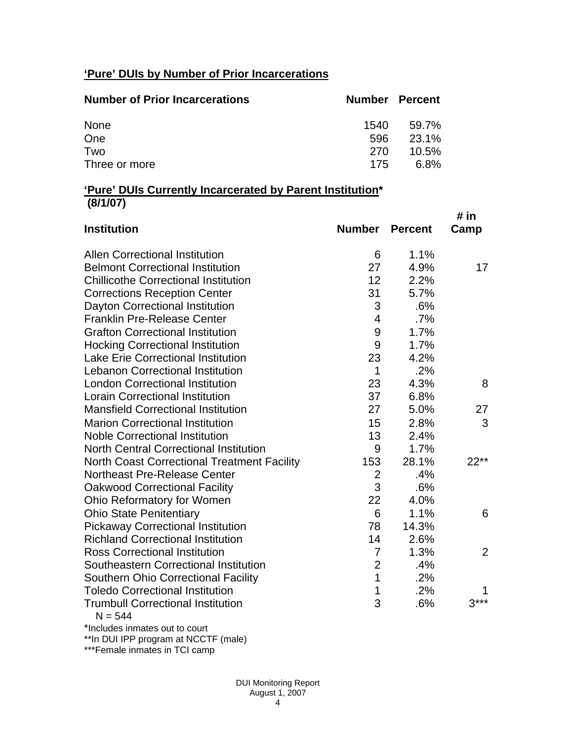# **'Pure' DUIs by Number of Prior Incarcerations**

| <b>Number of Prior Incarcerations</b> | <b>Number Percent</b> |          |
|---------------------------------------|-----------------------|----------|
| None                                  | 1540                  | 59.7%    |
| One                                   | 596                   | 23.1%    |
| Two                                   | 270                   | $10.5\%$ |
| Three or more                         | 175                   | 6.8%     |

#### **'Pure' DUIs Currently Incarcerated by Parent Institution\* (8/1/07)**

| <b>Institution</b>                                 | <b>Number Percent</b>   |       | # in           |
|----------------------------------------------------|-------------------------|-------|----------------|
|                                                    |                         |       | Camp           |
| <b>Allen Correctional Institution</b>              | 6                       | 1.1%  |                |
| <b>Belmont Correctional Institution</b>            | 27                      | 4.9%  | 17             |
| <b>Chillicothe Correctional Institution</b>        | 12                      | 2.2%  |                |
| <b>Corrections Reception Center</b>                | 31                      | 5.7%  |                |
| Dayton Correctional Institution                    | 3                       | .6%   |                |
| <b>Franklin Pre-Release Center</b>                 | $\overline{\mathbf{4}}$ | .7%   |                |
| <b>Grafton Correctional Institution</b>            | 9                       | 1.7%  |                |
| <b>Hocking Correctional Institution</b>            | 9                       | 1.7%  |                |
| <b>Lake Erie Correctional Institution</b>          | 23                      | 4.2%  |                |
| <b>Lebanon Correctional Institution</b>            | 1                       | .2%   |                |
| <b>London Correctional Institution</b>             | 23                      | 4.3%  | 8              |
| <b>Lorain Correctional Institution</b>             | 37                      | 6.8%  |                |
| <b>Mansfield Correctional Institution</b>          | 27                      | 5.0%  | 27             |
| <b>Marion Correctional Institution</b>             | 15                      | 2.8%  | 3              |
| <b>Noble Correctional Institution</b>              | 13                      | 2.4%  |                |
| <b>North Central Correctional Institution</b>      | 9                       | 1.7%  |                |
| <b>North Coast Correctional Treatment Facility</b> | 153                     | 28.1% | $22**$         |
| Northeast Pre-Release Center                       | $\overline{2}$          | .4%   |                |
| <b>Oakwood Correctional Facility</b>               | 3                       | .6%   |                |
| Ohio Reformatory for Women                         | 22                      | 4.0%  |                |
| <b>Ohio State Penitentiary</b>                     | 6                       | 1.1%  | 6              |
| <b>Pickaway Correctional Institution</b>           | 78                      | 14.3% |                |
| <b>Richland Correctional Institution</b>           | 14                      | 2.6%  |                |
| <b>Ross Correctional Institution</b>               | $\overline{7}$          | 1.3%  | $\overline{2}$ |
| Southeastern Correctional Institution              | $\overline{2}$          | .4%   |                |
| <b>Southern Ohio Correctional Facility</b>         | $\overline{1}$          | .2%   |                |
| <b>Toledo Correctional Institution</b>             | 1                       | .2%   |                |
| <b>Trumbull Correctional Institution</b>           | 3                       | .6%   | $3***$         |
| $N = 544$                                          |                         |       |                |

\*Includes inmates out to court

\*\*In DUI IPP program at NCCTF (male)

\*\*\*Female inmates in TCI camp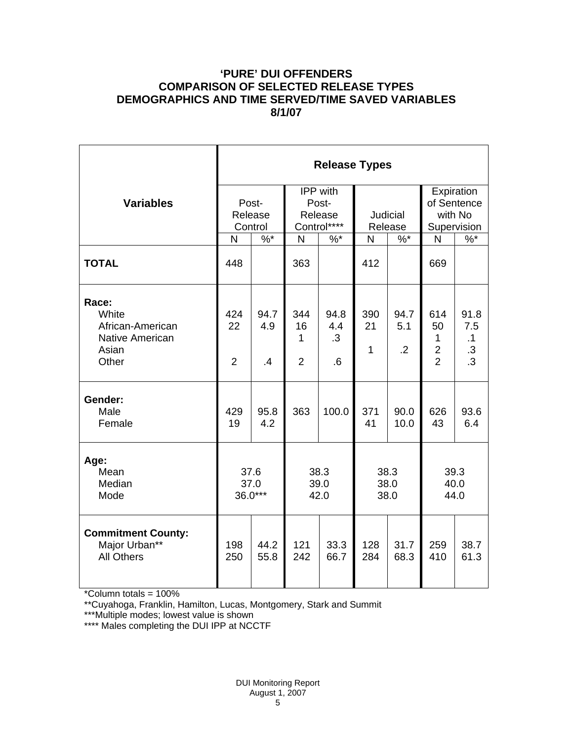## **'PURE' DUI OFFENDERS COMPARISON OF SELECTED RELEASE TYPES DEMOGRAPHICS AND TIME SERVED/TIME SAVED VARIABLES 8/1/07**

|                                                                         | <b>Release Types</b>        |                   |                                             |                                |                           |                           |                                                             |                                          |  |
|-------------------------------------------------------------------------|-----------------------------|-------------------|---------------------------------------------|--------------------------------|---------------------------|---------------------------|-------------------------------------------------------------|------------------------------------------|--|
| <b>Variables</b>                                                        | Post-<br>Release<br>Control |                   | IPP with<br>Post-<br>Release<br>Control**** |                                | Judicial<br>Release       |                           | Expiration<br>of Sentence<br>with No<br>Supervision         |                                          |  |
|                                                                         | N                           | $\%$ *            | $\mathsf{N}$                                | $%^*$                          | N                         | $\%$ *                    | N                                                           | $\%$                                     |  |
| <b>TOTAL</b>                                                            | 448                         |                   | 363                                         |                                | 412                       |                           | 669                                                         |                                          |  |
| Race:<br>White<br>African-American<br>Native American<br>Asian<br>Other | 424<br>22<br>$\overline{2}$ | 94.7<br>4.9<br>.4 | 344<br>16<br>1<br>$\overline{2}$            | 94.8<br>4.4<br>$\cdot$ 3<br>.6 | 390<br>21<br>$\mathbf{1}$ | 94.7<br>5.1<br>$\cdot$ .2 | 614<br>50<br>1<br>$\overline{\mathbf{c}}$<br>$\overline{2}$ | 91.8<br>7.5<br>.1<br>$.3\,$<br>$\cdot$ 3 |  |
| Gender:<br>Male<br>Female                                               | 429<br>19                   | 95.8<br>4.2       | 363                                         | 100.0                          | 371<br>41                 | 90.0<br>10.0              | 626<br>43                                                   | 93.6<br>6.4                              |  |
| Age:<br>Mean<br>Median<br>Mode                                          | 37.6<br>37.0<br>$36.0***$   |                   | 38.3<br>39.0<br>42.0                        |                                | 38.3<br>38.0<br>38.0      |                           | 39.3<br>40.0<br>44.0                                        |                                          |  |
| <b>Commitment County:</b><br>Major Urban**<br><b>All Others</b>         | 198<br>250                  | 44.2<br>55.8      | 121<br>242                                  | 33.3<br>66.7                   | 128<br>284                | 31.7<br>68.3              | 259<br>410                                                  | 38.7<br>61.3                             |  |

\*Column totals = 100%

\*\*Cuyahoga, Franklin, Hamilton, Lucas, Montgomery, Stark and Summit

\*\*\*Multiple modes; lowest value is shown

\*\*\*\* Males completing the DUI IPP at NCCTF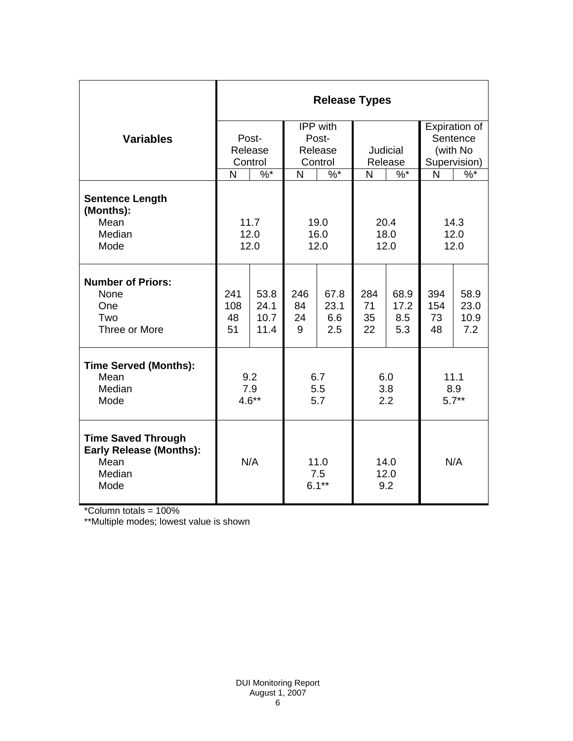|                                                                                       | <b>Release Types</b>                         |                              |                                         |                            |                       |                            |                                                       |                             |  |  |
|---------------------------------------------------------------------------------------|----------------------------------------------|------------------------------|-----------------------------------------|----------------------------|-----------------------|----------------------------|-------------------------------------------------------|-----------------------------|--|--|
| <b>Variables</b>                                                                      | Post-<br>Release<br>Control                  |                              | IPP with<br>Post-<br>Release<br>Control |                            | Judicial<br>Release   |                            | Expiration of<br>Sentence<br>(with No<br>Supervision) |                             |  |  |
|                                                                                       | N                                            | $\%^{*}$                     | $\%$ *<br>N                             |                            | N<br>$\%$ *           |                            | N                                                     | $\frac{9}{6}$               |  |  |
| <b>Sentence Length</b><br>(Months):<br>Mean<br>Median<br>Mode                         | 11.7<br>19.0<br>12.0<br>16.0<br>12.0<br>12.0 |                              |                                         |                            | 20.4<br>18.0<br>12.0  |                            | 14.3<br>12.0<br>12.0                                  |                             |  |  |
| <b>Number of Priors:</b><br>None<br>One<br>Two<br>Three or More                       | 241<br>108<br>48<br>51                       | 53.8<br>24.1<br>10.7<br>11.4 | 246<br>84<br>24<br>9                    | 67.8<br>23.1<br>6.6<br>2.5 | 284<br>71<br>35<br>22 | 68.9<br>17.2<br>8.5<br>5.3 | 394<br>154<br>73<br>48                                | 58.9<br>23.0<br>10.9<br>7.2 |  |  |
| <b>Time Served (Months):</b><br>Mean<br>Median<br>Mode                                | 9.2<br>7.9<br>$4.6**$                        |                              | 6.7<br>5.5<br>5.7                       |                            | 6.0<br>3.8<br>2.2     |                            | 11.1<br>8.9<br>$5.7**$                                |                             |  |  |
| <b>Time Saved Through</b><br><b>Early Release (Months):</b><br>Mean<br>Median<br>Mode | N/A                                          |                              | 11.0<br>7.5<br>$6.1***$                 |                            | 14.0<br>12.0<br>9.2   |                            | N/A                                                   |                             |  |  |

\*Column totals = 100%

\*\*Multiple modes; lowest value is shown